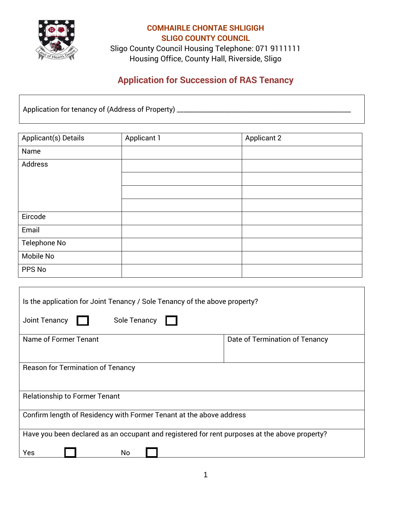

Sligo County Council Housing Telephone: 071 9111111 Housing Office, County Hall, Riverside, Sligo

## **Application for Succession of RAS Tenancy**

Application for tenancy of (Address of Property) \_\_\_\_\_\_\_\_\_\_\_\_\_\_\_\_\_\_\_\_\_\_\_\_\_\_\_\_\_\_\_\_\_\_\_\_\_\_\_\_\_\_\_\_\_\_\_\_\_\_\_\_\_\_

| Applicant(s) Details | <b>Applicant 1</b> | <b>Applicant 2</b> |
|----------------------|--------------------|--------------------|
| Name                 |                    |                    |
| Address              |                    |                    |
|                      |                    |                    |
|                      |                    |                    |
|                      |                    |                    |
| Eircode              |                    |                    |
| Email                |                    |                    |
| Telephone No         |                    |                    |
| Mobile No            |                    |                    |
| PPS No               |                    |                    |

| Is the application for Joint Tenancy / Sole Tenancy of the above property?                    |                                |  |
|-----------------------------------------------------------------------------------------------|--------------------------------|--|
| Sole Tenancy<br>Joint Tenancy                                                                 |                                |  |
| Name of Former Tenant                                                                         | Date of Termination of Tenancy |  |
| <b>Reason for Termination of Tenancy</b>                                                      |                                |  |
| <b>Relationship to Former Tenant</b>                                                          |                                |  |
| Confirm length of Residency with Former Tenant at the above address                           |                                |  |
| Have you been declared as an occupant and registered for rent purposes at the above property? |                                |  |
| No<br>Yes                                                                                     |                                |  |

٦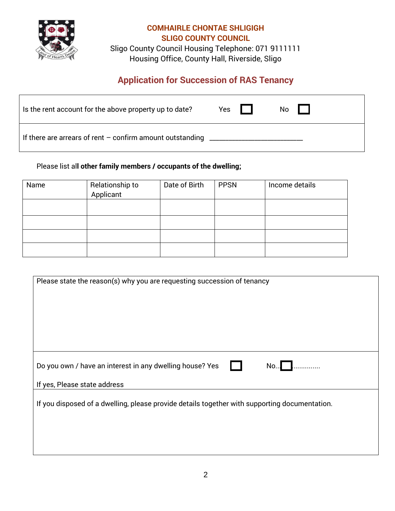

Sligo County Council Housing Telephone: 071 9111111 Housing Office, County Hall, Riverside, Sligo

# **Application for Succession of RAS Tenancy**

| Is the rent account for the above property up to date?      | Yes | No l |
|-------------------------------------------------------------|-----|------|
| If there are arrears of rent $-$ confirm amount outstanding |     |      |

### Please list al**l other family members / occupants of the dwelling;**

| Name | Relationship to<br>Applicant | Date of Birth | <b>PPSN</b> | Income details |
|------|------------------------------|---------------|-------------|----------------|
|      |                              |               |             |                |
|      |                              |               |             |                |
|      |                              |               |             |                |
|      |                              |               |             |                |

| Please state the reason(s) why you are requesting succession of tenancy                       |
|-----------------------------------------------------------------------------------------------|
|                                                                                               |
|                                                                                               |
| Do you own / have an interest in any dwelling house? Yes<br>No                                |
| If yes, Please state address                                                                  |
| If you disposed of a dwelling, please provide details together with supporting documentation. |
|                                                                                               |
|                                                                                               |
|                                                                                               |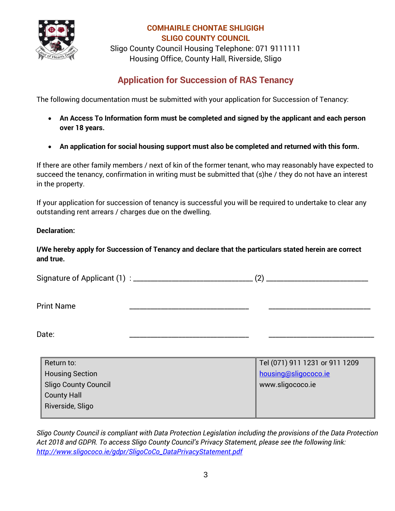

Sligo County Council Housing Telephone: 071 9111111 Housing Office, County Hall, Riverside, Sligo

## **Application for Succession of RAS Tenancy**

The following documentation must be submitted with your application for Succession of Tenancy:

- **An Access To Information form must be completed and signed by the applicant and each person over 18 years.**
- **An application for social housing support must also be completed and returned with this form.**

If there are other family members / next of kin of the former tenant, who may reasonably have expected to succeed the tenancy, confirmation in writing must be submitted that (s)he / they do not have an interest in the property.

If your application for succession of tenancy is successful you will be required to undertake to clear any outstanding rent arrears / charges due on the dwelling.

#### **Declaration:**

**I/We hereby apply for Succession of Tenancy and declare that the particulars stated herein are correct and true.**

Signature of Applicant (1) : \_\_\_\_\_\_\_\_\_\_\_\_\_\_\_\_\_\_\_\_\_\_\_\_\_\_\_\_\_\_\_\_\_\_ (2) \_\_\_\_\_\_\_\_\_\_\_\_\_\_\_\_\_\_\_\_\_\_\_\_\_\_\_\_\_

Print Name \_\_\_\_\_\_\_\_\_\_\_\_\_\_\_\_\_\_\_\_\_\_\_\_\_\_\_\_\_\_\_\_\_\_ \_\_\_\_\_\_\_\_\_\_\_\_\_\_\_\_\_\_\_\_\_\_\_\_\_\_\_\_\_

Date: \_\_\_\_\_\_\_\_\_\_\_\_\_\_\_\_\_\_\_\_\_\_\_\_\_\_\_\_\_\_\_\_\_\_ \_\_\_\_\_\_\_\_\_\_\_\_\_\_\_\_\_\_\_\_\_\_\_\_\_\_\_\_\_\_

| Return to:                  | Tel (071) 911 1231 or 911 1209 |
|-----------------------------|--------------------------------|
| <b>Housing Section</b>      | housing@sligococo.ie           |
| <b>Sligo County Council</b> | www.sligococo.ie               |
| <b>County Hall</b>          |                                |
| Riverside, Sligo            |                                |
|                             |                                |

*Sligo County Council is compliant with Data Protection Legislation including the provisions of the Data Protection Act 2018 and GDPR. To access Sligo County Council's Privacy Statement, please see the following link: [http://www.sligococo.ie/gdpr/SligoCoCo\\_DataPrivacyStatement.pdf](http://www.sligococo.ie/gdpr/SligoCoCo_DataPrivacyStatement.pdf)*